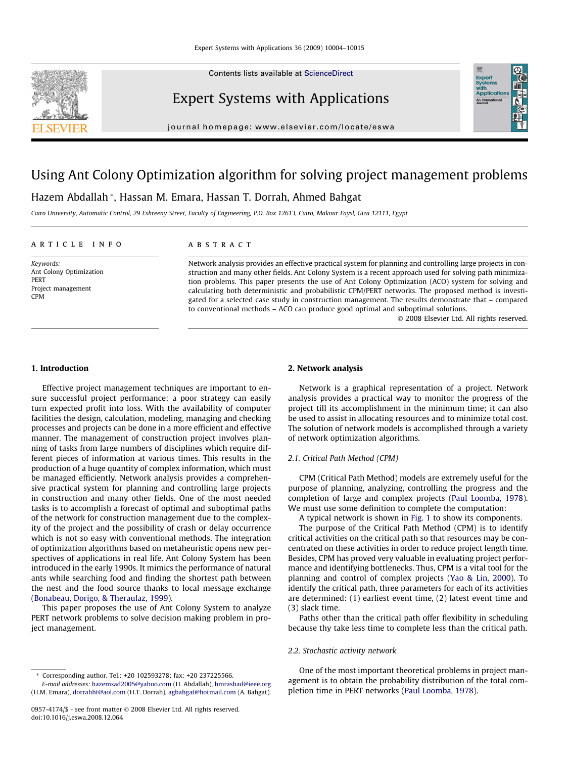Contents lists available at [ScienceDirect](http://www.sciencedirect.com/science/journal/09574174)



## Expert Systems with Applications

journal homepage: [www.elsevier.com/locate/eswa](http://www.elsevier.com/locate/eswa)

## Using Ant Colony Optimization algorithm for solving project management problems

### Hazem Abdallah \*, Hassan M. Emara, Hassan T. Dorrah, Ahmed Bahgat

Cairo University, Automatic Control, 29 Eshreeny Street, Faculty of Engineering, P.O. Box 12613, Cairo, Makour Faysl, Giza 12111, Egypt

#### article info

Keywords: Ant Colony Optimization PERT Project management CPM

#### **ABSTRACT**

Network analysis provides an effective practical system for planning and controlling large projects in construction and many other fields. Ant Colony System is a recent approach used for solving path minimization problems. This paper presents the use of Ant Colony Optimization (ACO) system for solving and calculating both deterministic and probabilistic CPM/PERT networks. The proposed method is investigated for a selected case study in construction management. The results demonstrate that – compared to conventional methods – ACO can produce good optimal and suboptimal solutions.

- 2008 Elsevier Ltd. All rights reserved.

**Exper**<br>System

#### 1. Introduction

Effective project management techniques are important to ensure successful project performance; a poor strategy can easily turn expected profit into loss. With the availability of computer facilities the design, calculation, modeling, managing and checking processes and projects can be done in a more efficient and effective manner. The management of construction project involves planning of tasks from large numbers of disciplines which require different pieces of information at various times. This results in the production of a huge quantity of complex information, which must be managed efficiently. Network analysis provides a comprehensive practical system for planning and controlling large projects in construction and many other fields. One of the most needed tasks is to accomplish a forecast of optimal and suboptimal paths of the network for construction management due to the complexity of the project and the possibility of crash or delay occurrence which is not so easy with conventional methods. The integration of optimization algorithms based on metaheuristic opens new perspectives of applications in real life. Ant Colony System has been introduced in the early 1990s. It mimics the performance of natural ants while searching food and finding the shortest path between the nest and the food source thanks to local message exchange ([Bonabeau, Dorigo, & Theraulaz, 1999](#page--1-0)).

This paper proposes the use of Ant Colony System to analyze PERT network problems to solve decision making problem in project management.

#### \* Corresponding author. Tel.: +20 102593278; fax: +20 237225566. E-mail addresses: [hazemsad2005@yahoo.com](mailto:hazemsad2005@yahoo.com) (H. Abdallah), [hmrashad@ieee.org](mailto:hmrashad@ieee.org)

(H.M. Emara), [dorrahht@aol.com](mailto:dorrahht@aol.com) (H.T. Dorrah), [agbahgat@hotmail.com](mailto:agbahgat@hotmail.com) (A. Bahgat).

#### 2. Network analysis

Network is a graphical representation of a project. Network analysis provides a practical way to monitor the progress of the project till its accomplishment in the minimum time; it can also be used to assist in allocating resources and to minimize total cost. The solution of network models is accomplished through a variety of network optimization algorithms.

#### 2.1. Critical Path Method (CPM)

CPM (Critical Path Method) models are extremely useful for the purpose of planning, analyzing, controlling the progress and the completion of large and complex projects [\(Paul Loomba, 1978\)](#page--1-0). We must use some definition to complete the computation:

A typical network is shown in [Fig. 1](#page-1-0) to show its components.

The purpose of the Critical Path Method (CPM) is to identify critical activities on the critical path so that resources may be concentrated on these activities in order to reduce project length time. Besides, CPM has proved very valuable in evaluating project performance and identifying bottlenecks. Thus, CPM is a vital tool for the planning and control of complex projects ([Yao & Lin, 2000\)](#page--1-0). To identify the critical path, three parameters for each of its activities are determined: (1) earliest event time, (2) latest event time and (3) slack time.

Paths other than the critical path offer flexibility in scheduling because thy take less time to complete less than the critical path.

#### 2.2. Stochastic activity network

One of the most important theoretical problems in project management is to obtain the probability distribution of the total completion time in PERT networks ([Paul Loomba, 1978\)](#page--1-0).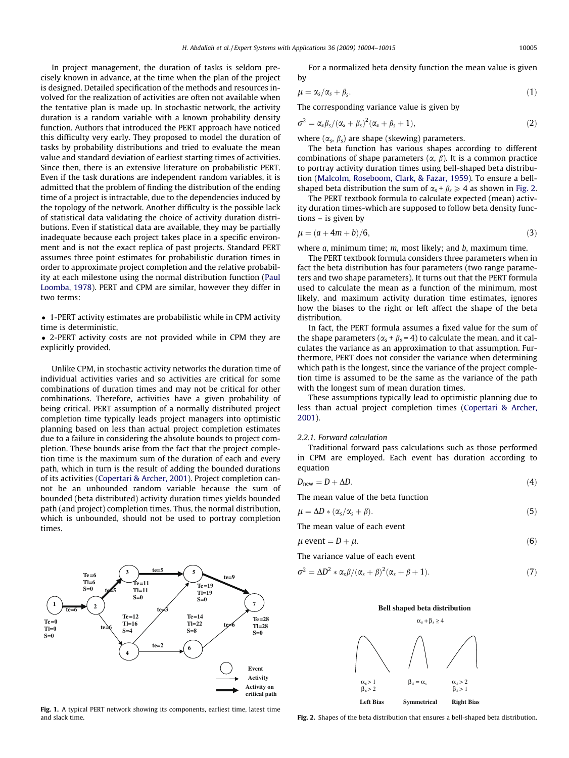<span id="page-1-0"></span>In project management, the duration of tasks is seldom precisely known in advance, at the time when the plan of the project is designed. Detailed specification of the methods and resources involved for the realization of activities are often not available when the tentative plan is made up. In stochastic network, the activity duration is a random variable with a known probability density function. Authors that introduced the PERT approach have noticed this difficulty very early. They proposed to model the duration of tasks by probability distributions and tried to evaluate the mean value and standard deviation of earliest starting times of activities. Since then, there is an extensive literature on probabilistic PERT. Even if the task durations are independent random variables, it is admitted that the problem of finding the distribution of the ending time of a project is intractable, due to the dependencies induced by the topology of the network. Another difficulty is the possible lack of statistical data validating the choice of activity duration distributions. Even if statistical data are available, they may be partially inadequate because each project takes place in a specific environment and is not the exact replica of past projects. Standard PERT assumes three point estimates for probabilistic duration times in order to approximate project completion and the relative probability at each milestone using the normal distribution function [\(Paul](#page--1-0) [Loomba, 1978](#page--1-0)). PERT and CPM are similar, however they differ in two terms:

- 1-PERT activity estimates are probabilistic while in CPM activity time is deterministic,

- 2-PERT activity costs are not provided while in CPM they are explicitly provided.

Unlike CPM, in stochastic activity networks the duration time of individual activities varies and so activities are critical for some combinations of duration times and may not be critical for other combinations. Therefore, activities have a given probability of being critical. PERT assumption of a normally distributed project completion time typically leads project managers into optimistic planning based on less than actual project completion estimates due to a failure in considering the absolute bounds to project completion. These bounds arise from the fact that the project completion time is the maximum sum of the duration of each and every path, which in turn is the result of adding the bounded durations of its activities ([Copertari & Archer, 2001](#page--1-0)). Project completion cannot be an unbounded random variable because the sum of bounded (beta distributed) activity duration times yields bounded path (and project) completion times. Thus, the normal distribution, which is unbounded, should not be used to portray completion times.



Fig. 1. A typical PERT network showing its components, earliest time, latest time and slack time.

For a normalized beta density function the mean value is given by

$$
\mu = \alpha_s / \alpha_s + \beta_s. \tag{1}
$$

The corresponding variance value is given by

$$
\sigma^2 = \alpha_s \beta_s / (\alpha_s + \beta_s)^2 (\alpha_s + \beta_s + 1), \qquad (2)
$$

where  $(\alpha_s, \beta_s)$  are shape (skewing) parameters.

The beta function has various shapes according to different combinations of shape parameters  $(\alpha, \beta)$ . It is a common practice to portray activity duration times using bell-shaped beta distribution [\(Malcolm, Roseboom, Clark, & Fazar, 1959](#page--1-0)). To ensure a bellshaped beta distribution the sum of  $\alpha_s + \beta_s \geq 4$  as shown in Fig. 2.

The PERT textbook formula to calculate expected (mean) activity duration times-which are supposed to follow beta density functions – is given by

$$
\mu = (a + 4m + b)/6,\tag{3}
$$

where  $a$ , minimum time;  $m$ , most likely; and  $b$ , maximum time.

The PERT textbook formula considers three parameters when in fact the beta distribution has four parameters (two range parameters and two shape parameters). It turns out that the PERT formula used to calculate the mean as a function of the minimum, most likely, and maximum activity duration time estimates, ignores how the biases to the right or left affect the shape of the beta distribution.

In fact, the PERT formula assumes a fixed value for the sum of the shape parameters ( $\alpha_s + \beta_s = 4$ ) to calculate the mean, and it calculates the variance as an approximation to that assumption. Furthermore, PERT does not consider the variance when determining which path is the longest, since the variance of the project completion time is assumed to be the same as the variance of the path with the longest sum of mean duration times.

These assumptions typically lead to optimistic planning due to less than actual project completion times ([Copertari & Archer,](#page--1-0) [2001](#page--1-0)).

#### 2.2.1. Forward calculation

Traditional forward pass calculations such as those performed in CPM are employed. Each event has duration according to equation

$$
D_{\text{new}} = D + \Delta D. \tag{4}
$$

The mean value of the beta function

$$
\mu = \Delta D * (\alpha_s / \alpha_s + \beta). \tag{5}
$$

The mean value of each event

$$
\mu \text{ event} = D + \mu. \tag{6}
$$

The variance value of each event

$$
\sigma^2 = \Delta D^2 * \alpha_s \beta / (\alpha_s + \beta)^2 (\alpha_s + \beta + 1). \tag{7}
$$

#### **Bell shaped beta distribution**



Fig. 2. Shapes of the beta distribution that ensures a bell-shaped beta distribution.